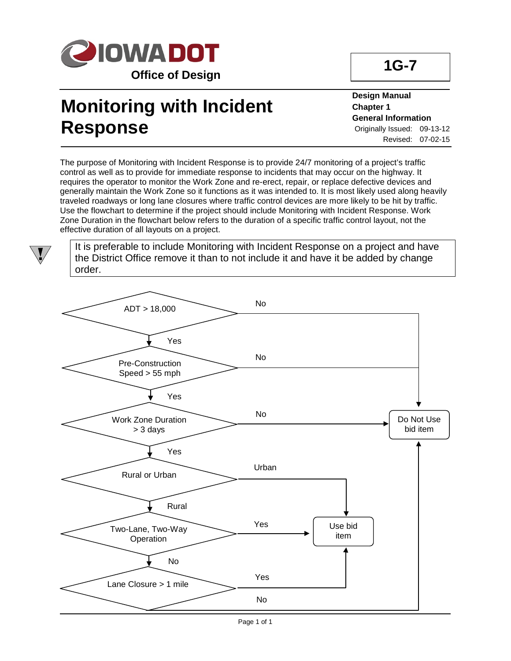

## **Monitoring with Incident Response**

**Design Manual Chapter 1 General Information** Originally Issued: 09-13-12 Revised: 07-02-15

**1G-7**

The purpose of Monitoring with Incident Response is to provide 24/7 monitoring of a project's traffic control as well as to provide for immediate response to incidents that may occur on the highway. It requires the operator to monitor the Work Zone and re-erect, repair, or replace defective devices and generally maintain the Work Zone so it functions as it was intended to. It is most likely used along heavily traveled roadways or long lane closures where traffic control devices are more likely to be hit by traffic. Use the flowchart to determine if the project should include Monitoring with Incident Response. Work Zone Duration in the flowchart below refers to the duration of a specific traffic control layout, not the effective duration of all layouts on a project.

It is preferable to include Monitoring with Incident Response on a project and have the District Office remove it than to not include it and have it be added by change order.